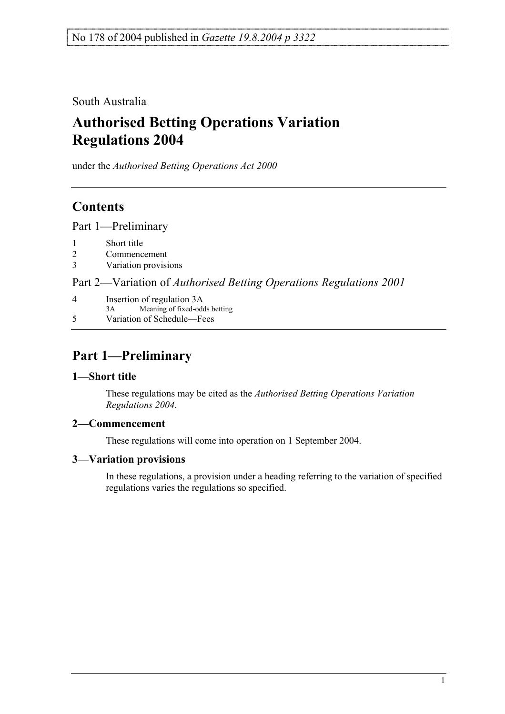South Australia

# **Authorised Betting Operations Variation Regulations 2004**

under the *Authorised Betting Operations Act 2000*

## **Contents**

Part 1—Preliminary

- 1 Short title
- 2 Commencement
- 3 Variation provisions

Part 2—Variation of *Authorised Betting Operations Regulations 2001*

4 Insertion of regulation 3A 3A Meaning of fixed-odds betting 5 Variation of Schedule—Fees

# **Part 1—Preliminary**

### **1—Short title**

These regulations may be cited as the *Authorised Betting Operations Variation Regulations 2004*.

### **2—Commencement**

These regulations will come into operation on 1 September 2004.

### **3—Variation provisions**

In these regulations, a provision under a heading referring to the variation of specified regulations varies the regulations so specified.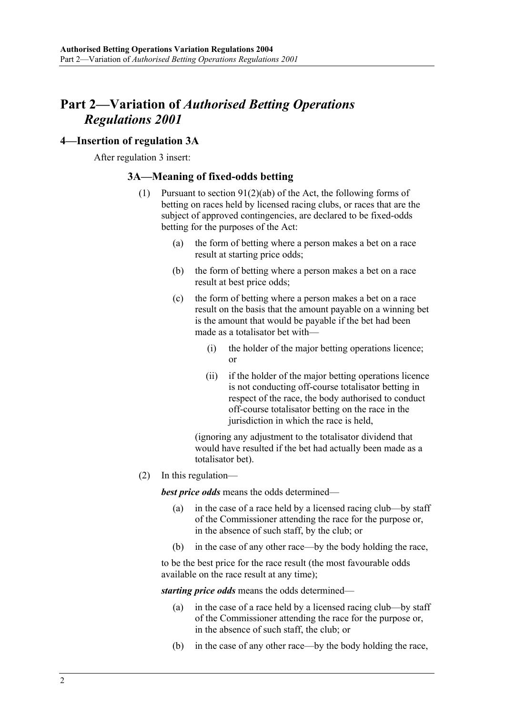### **Part 2—Variation of** *Authorised Betting Operations Regulations 2001*

### **4—Insertion of regulation 3A**

After regulation 3 insert:

#### **3A—Meaning of fixed-odds betting**

- (1) Pursuant to section 91(2)(ab) of the Act, the following forms of betting on races held by licensed racing clubs, or races that are the subject of approved contingencies, are declared to be fixed-odds betting for the purposes of the Act:
	- (a) the form of betting where a person makes a bet on a race result at starting price odds;
	- (b) the form of betting where a person makes a bet on a race result at best price odds;
	- (c) the form of betting where a person makes a bet on a race result on the basis that the amount payable on a winning bet is the amount that would be payable if the bet had been made as a totalisator bet with—
		- (i) the holder of the major betting operations licence; or
		- (ii) if the holder of the major betting operations licence is not conducting off-course totalisator betting in respect of the race, the body authorised to conduct off-course totalisator betting on the race in the jurisdiction in which the race is held,

(ignoring any adjustment to the totalisator dividend that would have resulted if the bet had actually been made as a totalisator bet).

(2) In this regulation—

*best price odds* means the odds determined—

- (a) in the case of a race held by a licensed racing club—by staff of the Commissioner attending the race for the purpose or, in the absence of such staff, by the club; or
- (b) in the case of any other race—by the body holding the race,

to be the best price for the race result (the most favourable odds available on the race result at any time);

*starting price odds* means the odds determined—

- (a) in the case of a race held by a licensed racing club—by staff of the Commissioner attending the race for the purpose or, in the absence of such staff, the club; or
- (b) in the case of any other race—by the body holding the race,